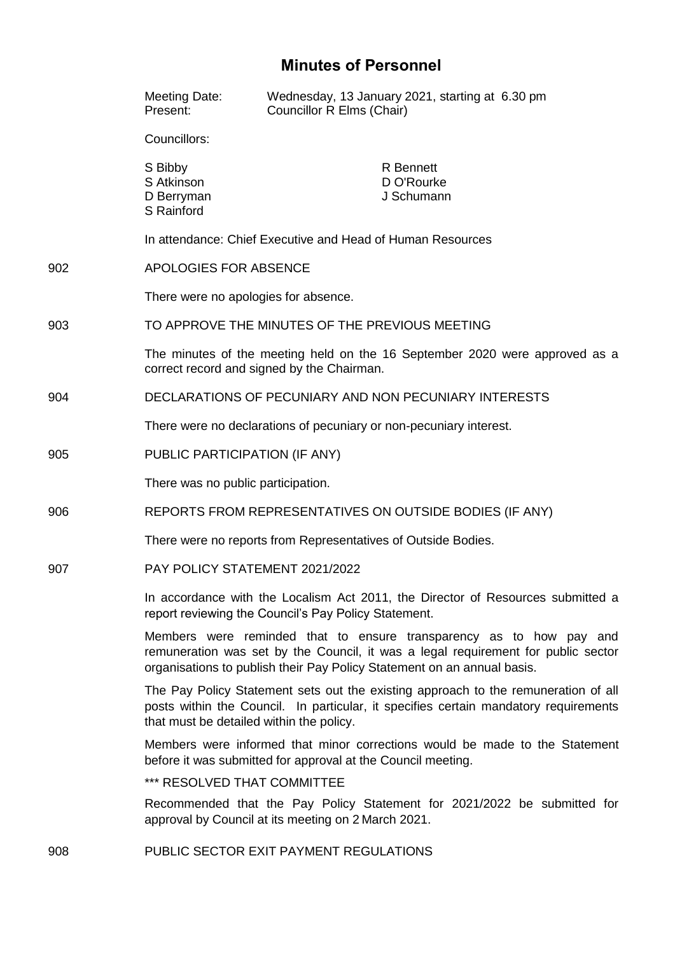# **Minutes of Personnel**

|     | Meeting Date:<br>Present:                                                                                                                                                                                                           | Wednesday, 13 January 2021, starting at 6.30 pm<br><b>Councillor R Elms (Chair)</b>                                             |
|-----|-------------------------------------------------------------------------------------------------------------------------------------------------------------------------------------------------------------------------------------|---------------------------------------------------------------------------------------------------------------------------------|
|     | Councillors:                                                                                                                                                                                                                        |                                                                                                                                 |
|     | S Bibby<br>S Atkinson<br>D Berryman<br>S Rainford                                                                                                                                                                                   | <b>R</b> Bennett<br>D O'Rourke<br>J Schumann                                                                                    |
|     | In attendance: Chief Executive and Head of Human Resources                                                                                                                                                                          |                                                                                                                                 |
| 902 | APOLOGIES FOR ABSENCE                                                                                                                                                                                                               |                                                                                                                                 |
|     | There were no apologies for absence.                                                                                                                                                                                                |                                                                                                                                 |
| 903 | TO APPROVE THE MINUTES OF THE PREVIOUS MEETING                                                                                                                                                                                      |                                                                                                                                 |
|     | The minutes of the meeting held on the 16 September 2020 were approved as a<br>correct record and signed by the Chairman.                                                                                                           |                                                                                                                                 |
| 904 | DECLARATIONS OF PECUNIARY AND NON PECUNIARY INTERESTS                                                                                                                                                                               |                                                                                                                                 |
|     | There were no declarations of pecuniary or non-pecuniary interest.                                                                                                                                                                  |                                                                                                                                 |
| 905 | PUBLIC PARTICIPATION (IF ANY)                                                                                                                                                                                                       |                                                                                                                                 |
|     | There was no public participation.                                                                                                                                                                                                  |                                                                                                                                 |
| 906 | REPORTS FROM REPRESENTATIVES ON OUTSIDE BODIES (IF ANY)                                                                                                                                                                             |                                                                                                                                 |
|     | There were no reports from Representatives of Outside Bodies.                                                                                                                                                                       |                                                                                                                                 |
| 907 | PAY POLICY STATEMENT 2021/2022                                                                                                                                                                                                      |                                                                                                                                 |
|     | In accordance with the Localism Act 2011, the Director of Resources submitted a<br>report reviewing the Council's Pay Policy Statement.                                                                                             |                                                                                                                                 |
|     | Members were reminded that to ensure transparency as to how pay and<br>remuneration was set by the Council, it was a legal requirement for public sector<br>organisations to publish their Pay Policy Statement on an annual basis. |                                                                                                                                 |
|     | The Pay Policy Statement sets out the existing approach to the remuneration of all<br>posts within the Council. In particular, it specifies certain mandatory requirements<br>that must be detailed within the policy.              |                                                                                                                                 |
|     | Members were informed that minor corrections would be made to the Statement<br>before it was submitted for approval at the Council meeting.                                                                                         |                                                                                                                                 |
|     | *** RESOLVED THAT COMMITTEE                                                                                                                                                                                                         |                                                                                                                                 |
|     |                                                                                                                                                                                                                                     | Recommended that the Pay Policy Statement for 2021/2022 be submitted for<br>approval by Council at its meeting on 2 March 2021. |

908 PUBLIC SECTOR EXIT PAYMENT REGULATIONS